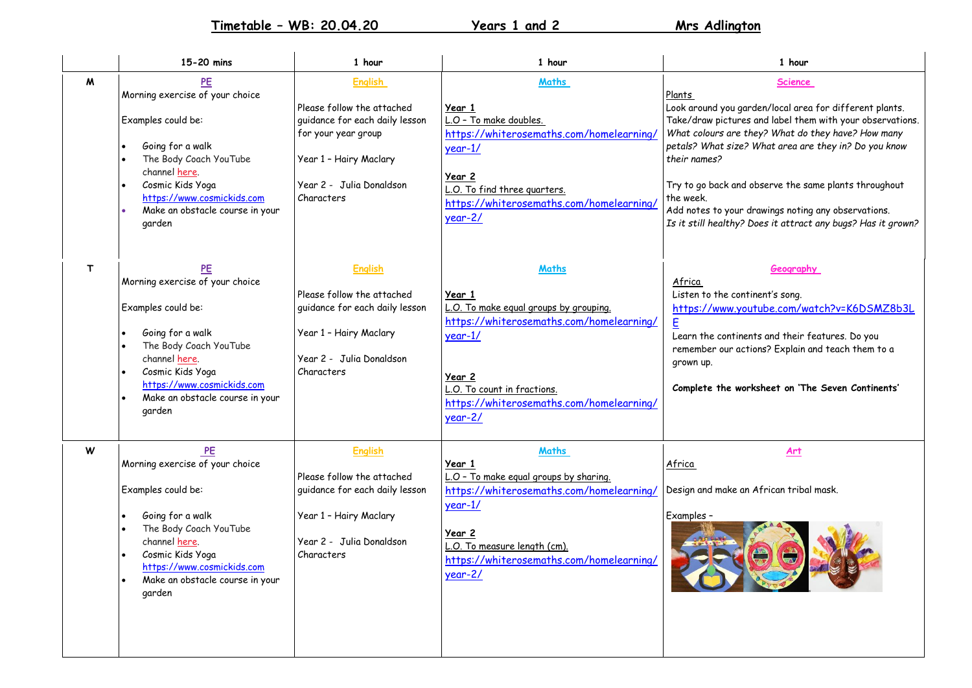**Timetable – WB: 20.04.20 Years 1 and 2 Mrs Adlington**

|   | 15-20 mins                                                                                                                                                                                                                                          | 1 hour                                                                                                                                                                    | 1 hour                                                                                                                                                                                                                     | 1 hour                                                                                                                                                                                                                                                                                                                                                                                                                                                                |
|---|-----------------------------------------------------------------------------------------------------------------------------------------------------------------------------------------------------------------------------------------------------|---------------------------------------------------------------------------------------------------------------------------------------------------------------------------|----------------------------------------------------------------------------------------------------------------------------------------------------------------------------------------------------------------------------|-----------------------------------------------------------------------------------------------------------------------------------------------------------------------------------------------------------------------------------------------------------------------------------------------------------------------------------------------------------------------------------------------------------------------------------------------------------------------|
| M | PE<br>Morning exercise of your choice<br>Examples could be:<br>Going for a walk<br>$\bullet$<br>The Body Coach YouTube<br>$\bullet$<br>channel here.<br>Cosmic Kids Yoga<br>https://www.cosmickids.com<br>Make an obstacle course in your<br>garden | <b>English</b><br>Please follow the attached<br>guidance for each daily lesson<br>for your year group<br>Year 1 - Hairy Maclary<br>Year 2 - Julia Donaldson<br>Characters | Maths<br>Year 1<br>L.O - To make doubles.<br>https://whiterosemaths.com/homelearning/<br>$year-1/$<br>Year 2<br>L.O. To find three quarters.<br>https://whiterosemaths.com/homelearning/<br>$year-2/$                      | Science<br>Plants<br>Look around you garden/local area for different plants.<br>Take/draw pictures and label them with your observations.<br>What colours are they? What do they have? How many<br>petals? What size? What area are they in? Do you know<br>their names?<br>Try to go back and observe the same plants throughout<br>the week.<br>Add notes to your drawings noting any observations.<br>Is it still healthy? Does it attract any bugs? Has it grown? |
| T | PE<br>Morning exercise of your choice<br>Examples could be:<br>Going for a walk<br>$\bullet$<br>The Body Coach YouTube<br>$\bullet$<br>channel here.<br>Cosmic Kids Yoga<br>https://www.cosmickids.com<br>Make an obstacle course in your<br>garden | <b>English</b><br>Please follow the attached<br>quidance for each daily lesson<br>Year 1 - Hairy Maclary<br>Year 2 - Julia Donaldson<br>Characters                        | Maths<br>Year 1<br>L.O. To make equal groups by grouping.<br>https://whiterosemaths.com/homelearning/<br>$year-1/$<br>Year 2<br>L.O. To count in fractions.<br>https://whiterosemaths.com/homelearning/<br>$year-2/$       | Geography<br>Africa<br>Listen to the continent's song.<br>https://www.youtube.com/watch?v=K6DSMZ8b3L<br>Learn the continents and their features. Do you<br>remember our actions? Explain and teach them to a<br>grown up.<br>Complete the worksheet on 'The Seven Continents'                                                                                                                                                                                         |
| W | PE<br>Morning exercise of your choice<br>Examples could be:<br>Going for a walk<br>The Body Coach YouTube<br>channel here.<br>Cosmic Kids Yoga<br>https://www.cosmickids.com<br>Make an obstacle course in your<br>garden                           | <b>English</b><br>Please follow the attached<br>guidance for each daily lesson<br>Year 1 - Hairy Maclary<br>Year 2 - Julia Donaldson<br>Characters                        | <b>Maths</b><br>Year 1<br>L.O - To make equal groups by sharing.<br>https://whiterosemaths.com/homelearning/<br>$year-1/$<br>Year 2<br>L.O. To measure length (cm).<br>https://whiterosemaths.com/homelearning/<br>year-2/ | Art<br>Africa<br>Design and make an African tribal mask.<br>Examples -<br>OB                                                                                                                                                                                                                                                                                                                                                                                          |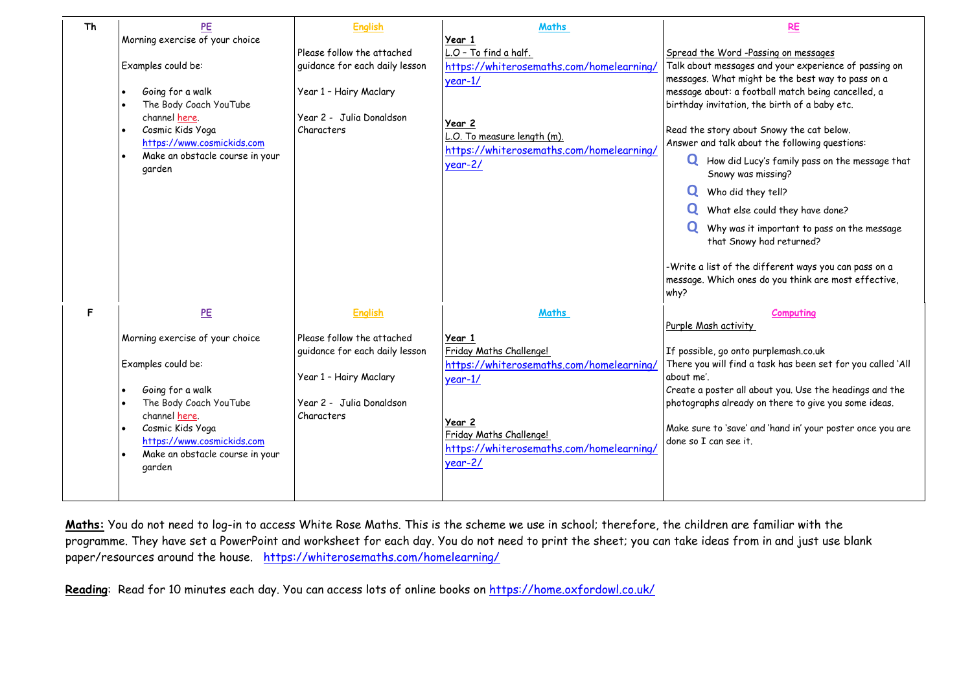| <b>Th</b> | PE<br>Morning exercise of your choice                                                                                                                                                                                                  | <b>English</b>                                                                                                                                     | <b>Maths</b><br>Year 1                                                                                                                                                                            | <b>RE</b>                                                                                                                                                                                                                                                                                                                                                                                                                                                                                                                                                                                                                                                                                      |
|-----------|----------------------------------------------------------------------------------------------------------------------------------------------------------------------------------------------------------------------------------------|----------------------------------------------------------------------------------------------------------------------------------------------------|---------------------------------------------------------------------------------------------------------------------------------------------------------------------------------------------------|------------------------------------------------------------------------------------------------------------------------------------------------------------------------------------------------------------------------------------------------------------------------------------------------------------------------------------------------------------------------------------------------------------------------------------------------------------------------------------------------------------------------------------------------------------------------------------------------------------------------------------------------------------------------------------------------|
|           | Examples could be:<br>Going for a walk<br>The Body Coach YouTube<br>channel here.<br>Cosmic Kids Yoga<br>https://www.cosmickids.com<br>Make an obstacle course in your<br>$\bullet$<br>garden                                          | Please follow the attached<br>guidance for each daily lesson<br>Year 1 - Hairy Maclary<br>Year 2 - Julia Donaldson<br>Characters                   | L.O - To find a half.<br>https://whiterosemaths.com/homelearning/<br>$year-1/$<br>Year 2<br>L.O. To measure length (m).<br>https://whiterosemaths.com/homelearning/<br>$year-2/$                  | Spread the Word-Passing on messages<br>Talk about messages and your experience of passing on<br>messages. What might be the best way to pass on a<br>message about: a football match being cancelled, a<br>birthday invitation, the birth of a baby etc.<br>Read the story about Snowy the cat below.<br>Answer and talk about the following questions:<br>U How did Lucy's family pass on the message that<br>Snowy was missing?<br>Who did they tell?<br>What else could they have done?<br>Why was it important to pass on the message<br>that Snowy had returned?<br>-Write a list of the different ways you can pass on a<br>message. Which ones do you think are most effective,<br>why? |
| F.        | PE<br>Morning exercise of your choice<br>Examples could be:<br>Going for a walk<br>The Body Coach YouTube<br>channel here.<br>Cosmic Kids Yoga<br>https://www.cosmickids.com<br>Make an obstacle course in your<br>$\bullet$<br>garden | <b>English</b><br>Please follow the attached<br>quidance for each daily lesson<br>Year 1 - Hairy Maclary<br>Year 2 - Julia Donaldson<br>Characters | Maths<br>Year 1<br>Friday Maths Challenge!<br>https://whiterosemaths.com/homelearning/<br>$year-1/$<br>Year 2<br>Friday Maths Challenge!<br>https://whiterosemaths.com/homelearning/<br>$year-2/$ | <b>Computing</b><br>Purple Mash activity<br>If possible, go onto purplemash.co.uk<br>There you will find a task has been set for you called 'All<br>about me'.<br>Create a poster all about you. Use the headings and the<br>photographs already on there to give you some ideas.<br>Make sure to 'save' and 'hand in' your poster once you are<br>done so I can see it.                                                                                                                                                                                                                                                                                                                       |

**Maths:** You do not need to log-in to access White Rose Maths. This is the scheme we use in school; therefore, the children are familiar with the programme. They have set a PowerPoint and worksheet for each day. You do not need to print the sheet; you can take ideas from in and just use blank paper/resources around the house. <https://whiterosemaths.com/homelearning/>

Reading: Read for 10 minutes each day. You can access lots of online books on<https://home.oxfordowl.co.uk/>